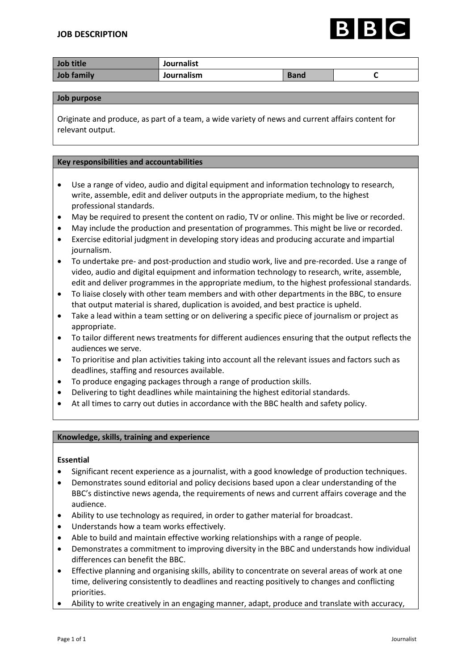

| Job title  | <b>Journalist</b> |             |  |
|------------|-------------------|-------------|--|
| Job family | Journalism        | <b>Band</b> |  |

#### **Job purpose**

Originate and produce, as part of a team, a wide variety of news and current affairs content for relevant output.

### **Key responsibilities and accountabilities**

- Use a range of video, audio and digital equipment and information technology to research, write, assemble, edit and deliver outputs in the appropriate medium, to the highest professional standards.
- May be required to present the content on radio, TV or online. This might be live or recorded.
- May include the production and presentation of programmes. This might be live or recorded.
- Exercise editorial judgment in developing story ideas and producing accurate and impartial journalism.
- To undertake pre- and post-production and studio work, live and pre-recorded. Use a range of video, audio and digital equipment and information technology to research, write, assemble, edit and deliver programmes in the appropriate medium, to the highest professional standards.
- To liaise closely with other team members and with other departments in the BBC, to ensure that output material is shared, duplication is avoided, and best practice is upheld.
- Take a lead within a team setting or on delivering a specific piece of journalism or project as appropriate.
- To tailor different news treatments for different audiences ensuring that the output reflects the audiences we serve.
- To prioritise and plan activities taking into account all the relevant issues and factors such as deadlines, staffing and resources available.
- To produce engaging packages through a range of production skills.
- Delivering to tight deadlines while maintaining the highest editorial standards.
- At all times to carry out duties in accordance with the BBC health and safety policy.

# **Knowledge, skills, training and experience**

# **Essential**

- Significant recent experience as a journalist, with a good knowledge of production techniques.
- Demonstrates sound editorial and policy decisions based upon a clear understanding of the BBC's distinctive news agenda, the requirements of news and current affairs coverage and the audience.
- Ability to use technology as required, in order to gather material for broadcast.
- Understands how a team works effectively.
- Able to build and maintain effective working relationships with a range of people.
- Demonstrates a commitment to improving diversity in the BBC and understands how individual differences can benefit the BBC.
- Effective planning and organising skills, ability to concentrate on several areas of work at one time, delivering consistently to deadlines and reacting positively to changes and conflicting priorities.
- Ability to write creatively in an engaging manner, adapt, produce and translate with accuracy,